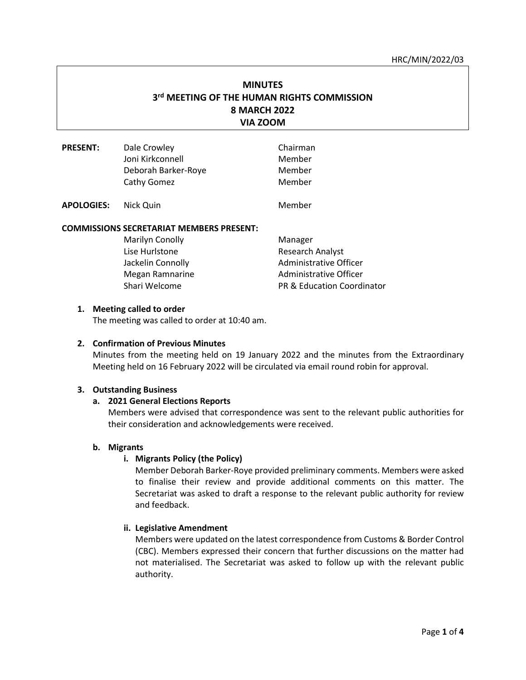#### HRC/MIN/2022/03

# **MINUTES 3 rd MEETING OF THE HUMAN RIGHTS COMMISSION 8 MARCH 2022 VIA ZOOM**

| <b>PRESENT:</b>   | Dale Crowley        | Chairman |
|-------------------|---------------------|----------|
|                   | Joni Kirkconnell    | Member   |
|                   | Deborah Barker-Roye | Member   |
|                   | Cathy Gomez         | Member   |
| <b>APOLOGIES:</b> | Nick Quin           | Member   |

### **COMMISSIONS SECRETARIAT MEMBERS PRESENT:**

| Marilyn Conolly   | Manager                               |
|-------------------|---------------------------------------|
| Lise Hurlstone    | Research Analyst                      |
| Jackelin Connolly | Administrative Officer                |
| Megan Ramnarine   | Administrative Officer                |
| Shari Welcome     | <b>PR &amp; Education Coordinator</b> |

#### **1. Meeting called to order**

The meeting was called to order at 10:40 am.

#### **2. Confirmation of Previous Minutes**

Minutes from the meeting held on 19 January 2022 and the minutes from the Extraordinary Meeting held on 16 February 2022 will be circulated via email round robin for approval.

#### **3. Outstanding Business**

#### **a. 2021 General Elections Reports**

Members were advised that correspondence was sent to the relevant public authorities for their consideration and acknowledgements were received.

#### **b. Migrants**

#### **i. Migrants Policy (the Policy)**

Member Deborah Barker-Roye provided preliminary comments. Members were asked to finalise their review and provide additional comments on this matter. The Secretariat was asked to draft a response to the relevant public authority for review and feedback.

#### **ii. Legislative Amendment**

Members were updated on the latest correspondence from Customs & Border Control (CBC). Members expressed their concern that further discussions on the matter had not materialised. The Secretariat was asked to follow up with the relevant public authority.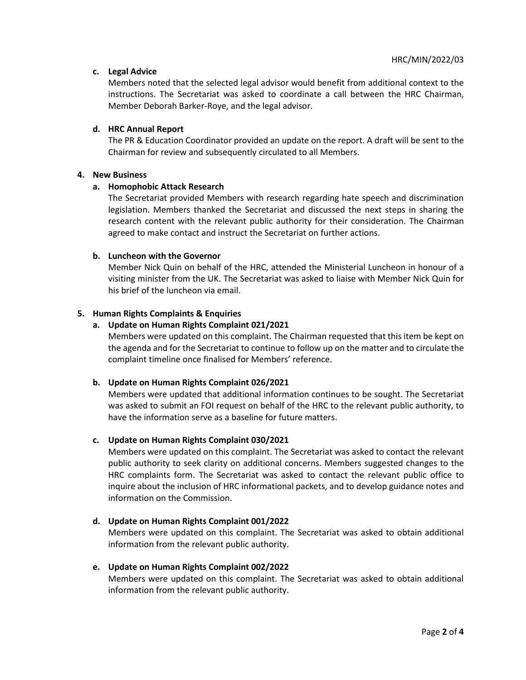# **c. Legal Advice**

Members noted that the selected legal advisor would benefit from additional context to the instructions. The Secretariat was asked to coordinate a call between the HRC Chairman, Member Deborah Barker-Roye, and the legal advisor.

# **d. HRC Annual Report**

The PR & Education Coordinator provided an update on the report. A draft will be sent to the Chairman for review and subsequently circulated to all Members.

### **4. New Business**

# **a. Homophobic Attack Research**

The Secretariat provided Members with research regarding hate speech and discrimination legislation. Members thanked the Secretariat and discussed the next steps in sharing the research content with the relevant public authority for their consideration. The Chairman agreed to make contact and instruct the Secretariat on further actions.

# **b. Luncheon with the Governor**

Member Nick Quin on behalf of the HRC, attended the Ministerial Luncheon in honour of a visiting minister from the UK. The Secretariat was asked to liaise with Member Nick Quin for his brief of the luncheon via email.

# **5. Human Rights Complaints & Enquiries**

# **a. Update on Human Rights Complaint 021/2021**

Members were updated on this complaint. The Chairman requested that this item be kept on the agenda and for the Secretariat to continue to follow up on the matter and to circulate the complaint timeline once finalised for Members' reference.

# **b. Update on Human Rights Complaint 026/2021**

Members were updated that additional information continues to be sought. The Secretariat was asked to submit an FOI request on behalf of the HRC to the relevant public authority, to have the information serve as a baseline for future matters.

### **c. Update on Human Rights Complaint 030/2021**

Members were updated on this complaint. The Secretariat was asked to contact the relevant public authority to seek clarity on additional concerns. Members suggested changes to the HRC complaints form. The Secretariat was asked to contact the relevant public office to inquire about the inclusion of HRC informational packets, and to develop guidance notes and information on the Commission.

### **d. Update on Human Rights Complaint 001/2022**

Members were updated on this complaint. The Secretariat was asked to obtain additional information from the relevant public authority.

### **e. Update on Human Rights Complaint 002/2022**

Members were updated on this complaint. The Secretariat was asked to obtain additional information from the relevant public authority.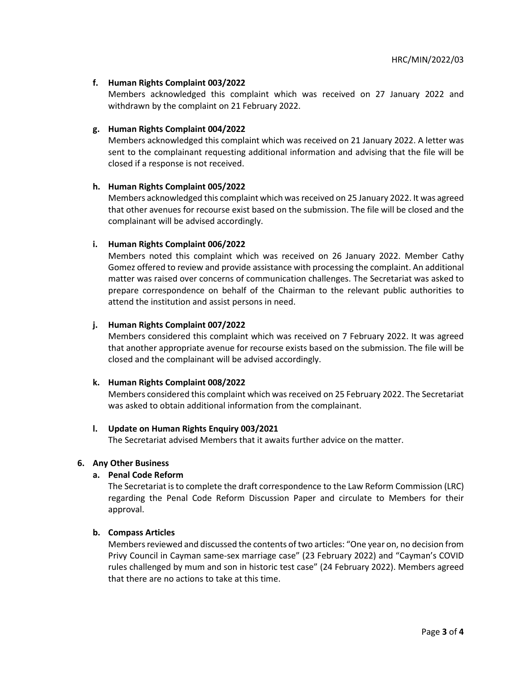# **f. Human Rights Complaint 003/2022**

Members acknowledged this complaint which was received on 27 January 2022 and withdrawn by the complaint on 21 February 2022.

### **g. Human Rights Complaint 004/2022**

Members acknowledged this complaint which was received on 21 January 2022. A letter was sent to the complainant requesting additional information and advising that the file will be closed if a response is not received.

### **h. Human Rights Complaint 005/2022**

Members acknowledged this complaint which wasreceived on 25 January 2022. It was agreed that other avenues for recourse exist based on the submission. The file will be closed and the complainant will be advised accordingly.

### **i. Human Rights Complaint 006/2022**

Members noted this complaint which was received on 26 January 2022. Member Cathy Gomez offered to review and provide assistance with processing the complaint. An additional matter was raised over concerns of communication challenges. The Secretariat was asked to prepare correspondence on behalf of the Chairman to the relevant public authorities to attend the institution and assist persons in need.

### **j. Human Rights Complaint 007/2022**

Members considered this complaint which was received on 7 February 2022. It was agreed that another appropriate avenue for recourse exists based on the submission. The file will be closed and the complainant will be advised accordingly.

### **k. Human Rights Complaint 008/2022**

Members considered this complaint which was received on 25 February 2022. The Secretariat was asked to obtain additional information from the complainant.

### **l. Update on Human Rights Enquiry 003/2021**

The Secretariat advised Members that it awaits further advice on the matter.

#### **6. Any Other Business**

#### **a. Penal Code Reform**

The Secretariat is to complete the draft correspondence to the Law Reform Commission (LRC) regarding the Penal Code Reform Discussion Paper and circulate to Members for their approval.

#### **b. Compass Articles**

Members reviewed and discussed the contents of two articles: "One year on, no decision from Privy Council in Cayman same-sex marriage case" (23 February 2022) and "Cayman's COVID rules challenged by mum and son in historic test case" (24 February 2022). Members agreed that there are no actions to take at this time.